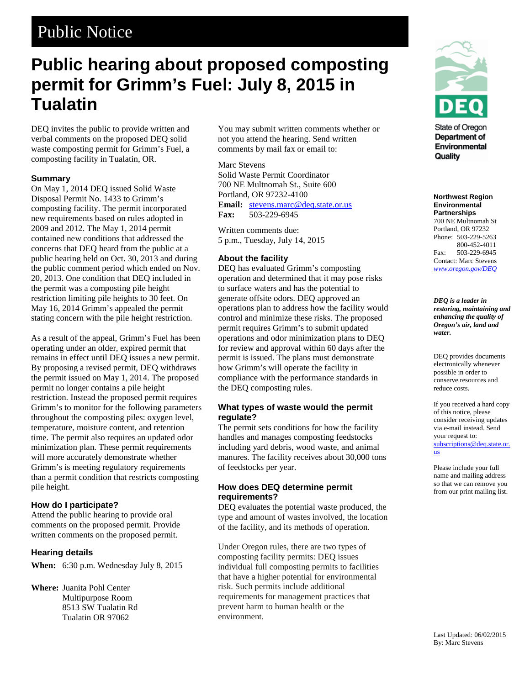# Public Notice

# **Public hearing about proposed composting permit for Grimm's Fuel: July 8, 2015 in Tualatin**

DEQ invites the public to provide written and verbal comments on the proposed DEQ solid waste composting permit for Grimm's Fuel, a composting facility in Tualatin, OR.

## **Summary**

On May 1, 2014 DEQ issued Solid Waste Disposal Permit No. 1433 to Grimm's composting facility. The permit incorporated new requirements based on rules adopted in 2009 and 2012. The May 1, 2014 permit contained new conditions that addressed the concerns that DEQ heard from the public at a public hearing held on Oct. 30, 2013 and during the public comment period which ended on Nov. 20, 2013. One condition that DEQ included in the permit was a composting pile height restriction limiting pile heights to 30 feet. On May 16, 2014 Grimm's appealed the permit stating concern with the pile height restriction.

As a result of the appeal, Grimm's Fuel has been operating under an older, expired permit that remains in effect until DEQ issues a new permit. By proposing a revised permit, DEQ withdraws the permit issued on May 1, 2014. The proposed permit no longer contains a pile height restriction. Instead the proposed permit requires Grimm's to monitor for the following parameters throughout the composting piles: oxygen level, temperature, moisture content, and retention time. The permit also requires an updated odor minimization plan. These permit requirements will more accurately demonstrate whether Grimm's is meeting regulatory requirements than a permit condition that restricts composting pile height.

## **How do I participate?**

Attend the public hearing to provide oral comments on the proposed permit. Provide written comments on the proposed permit.

## **Hearing details**

**When:** 6:30 p.m. Wednesday July 8, 2015

**Where:** Juanita Pohl Center Multipurpose Room 8513 SW Tualatin Rd Tualatin OR 97062

You may submit written comments whether or not you attend the hearing. Send written comments by mail fax or email to:

#### Marc Stevens

Solid Waste Permit Coordinator 700 NE Multnomah St., Suite 600 Portland, OR 97232-4100 **Email:** [stevens.marc@deq.state.or.us](mailto:stevens.marc@deq.state.or.us)

**Fax:** 503-229-6945

Written comments due: 5 p.m., Tuesday, July 14, 2015

## **About the facility**

DEQ has evaluated Grimm's composting operation and determined that it may pose risks to surface waters and has the potential to generate offsite odors. DEQ approved an operations plan to address how the facility would control and minimize these risks. The proposed permit requires Grimm's to submit updated operations and odor minimization plans to DEQ for review and approval within 60 days after the permit is issued. The plans must demonstrate how Grimm's will operate the facility in compliance with the performance standards in the DEQ composting rules.

## **What types of waste would the permit regulate?**

The permit sets conditions for how the facility handles and manages composting feedstocks including yard debris, wood waste, and animal manures. The facility receives about 30,000 tons of feedstocks per year.

## **How does DEQ determine permit requirements?**

DEQ evaluates the potential waste produced, the type and amount of wastes involved, the location of the facility, and its methods of operation.

Under Oregon rules, there are two types of composting facility permits: DEQ issues individual full composting permits to facilities that have a higher potential for environmental risk. Such permits include additional requirements for management practices that prevent harm to human health or the environment.



State of Oregon Department of Environmental Quality

**Northwest Region Environmental Partnerships** 700 NE Multnomah St Portland, OR 97232 Phone: 503-229-5263 800-452-4011 Fax: 503-229-6945 Contact: Marc Stevens *www.oregon.gov/DEQ*

*DEQ is a leader in restoring, maintaining and enhancing the quality of Oregon's air, land and water.*

DEQ provides documents electronically whenever possible in order to conserve resources and reduce costs.

If you received a hard copy of this notice, please consider receiving updates via e-mail instead. Send your request to: [subscriptions@deq.state.or.](mailto:subscriptions@deq.state.or.us) [us](mailto:subscriptions@deq.state.or.us)

Please include your full name and mailing address so that we can remove you from our print mailing list.